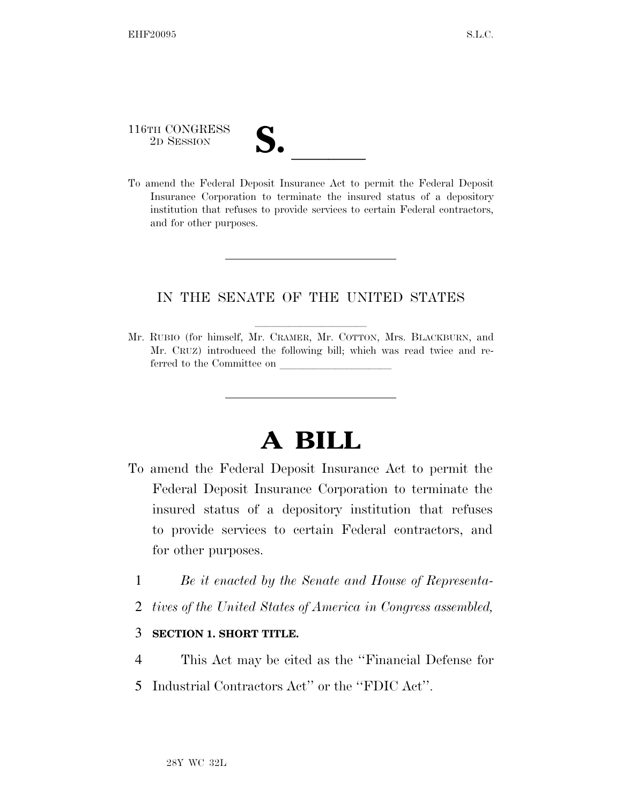## 116TH CONGRESS 116TH CONGRESS<br>
2D SESSION<br>
To amend the Federal Deposit Insurance Act to permit the Federal Deposit

Insurance Corporation to terminate the insured status of a depository institution that refuses to provide services to certain Federal contractors, and for other purposes.

## IN THE SENATE OF THE UNITED STATES

Mr. RUBIO (for himself, Mr. CRAMER, Mr. COTTON, Mrs. BLACKBURN, and Mr. CRUZ) introduced the following bill; which was read twice and referred to the Committee on

## **A BILL**

- To amend the Federal Deposit Insurance Act to permit the Federal Deposit Insurance Corporation to terminate the insured status of a depository institution that refuses to provide services to certain Federal contractors, and for other purposes.
	- 1 *Be it enacted by the Senate and House of Representa-*
	- 2 *tives of the United States of America in Congress assembled,*

## 3 **SECTION 1. SHORT TITLE.**

- 4 This Act may be cited as the ''Financial Defense for
- 5 Industrial Contractors Act'' or the ''FDIC Act''.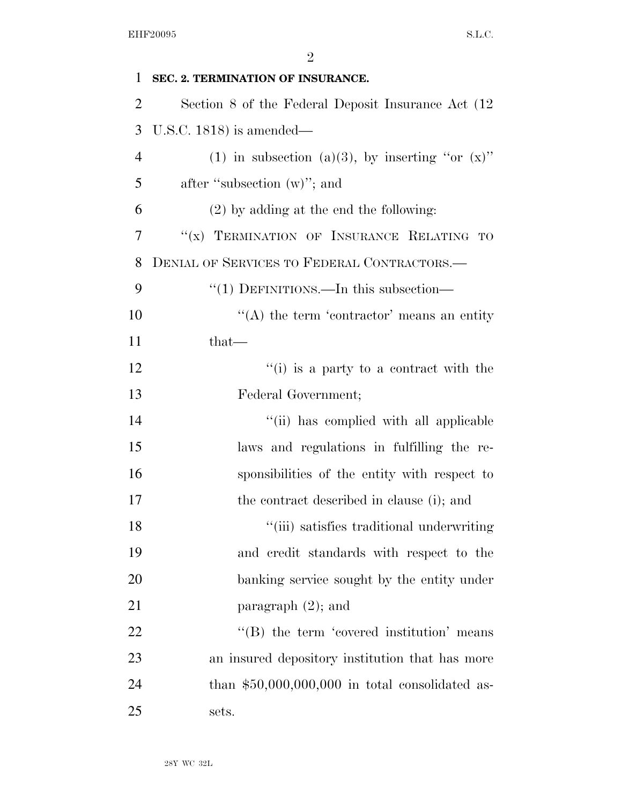| 1              | SEC. 2. TERMINATION OF INSURANCE.                   |
|----------------|-----------------------------------------------------|
| $\overline{2}$ | Section 8 of the Federal Deposit Insurance Act (12) |
| 3              | U.S.C. 1818) is amended—                            |
| $\overline{4}$ | (1) in subsection (a)(3), by inserting "or $(x)$ "  |
| 5              | after "subsection $(w)$ "; and                      |
| 6              | $(2)$ by adding at the end the following:           |
| 7              | "(x) TERMINATION OF INSURANCE RELATING TO           |
| 8              | DENIAL OF SERVICES TO FEDERAL CONTRACTORS.—         |
| 9              | " $(1)$ DEFINITIONS.—In this subsection—            |
| 10             | $\lq\lq$ the term 'contractor' means an entity      |
| 11             | that—                                               |
| 12             | $f'(i)$ is a party to a contract with the           |
| 13             | Federal Government;                                 |
| 14             | "(ii) has complied with all applicable              |
| 15             | laws and regulations in fulfilling the re-          |
| 16             | sponsibilities of the entity with respect to        |
| 17             | the contract described in clause (i); and           |
| 18             | "(iii) satisfies traditional underwriting           |
| 19             | and credit standards with respect to the            |
| 20             | banking service sought by the entity under          |
| 21             | paragraph $(2)$ ; and                               |
| 22             | $\lq\lq$ the term 'covered institution' means       |
| 23             | an insured depository institution that has more     |
| 24             | than $$50,000,000,000$ in total consolidated as-    |
| 25             | sets.                                               |